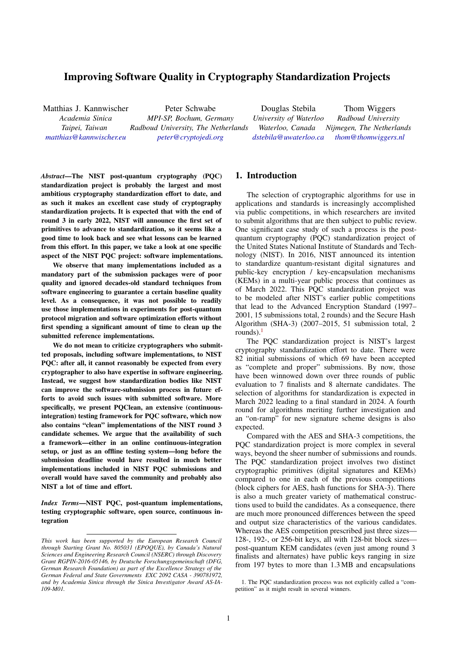# Improving Software Quality in Cryptography Standardization Projects

Matthias J. Kannwischer *Academia Sinica Taipei, Taiwan matthias@kannwischer.eu* Peter Schwabe *MPI-SP, Bochum, Germany Radboud University, The Netherlands peter@cryptojedi.org* Douglas Stebila *University of Waterloo Waterloo, Canada dstebila@uwaterloo.ca* Thom Wiggers *Radboud University Nijmegen, The Netherlands thom@thomwiggers.nl*

*Abstract*[—The NIST post-q](mailto:matthias@kannwischer.eu)uantum [cryptography \(PQC\)](mailto:peter@cryptojedi.org) standardization project is probably the largest and most ambitious cryptography standardization effort to date, and as such it makes an excellent case study of cryptography standardization projects. It is expected that with the end of round 3 in early 2022, NIST will announce the first set of primitives to advance to standardization, so it seems like a good time to look back and see what lessons can be learned from this effort. In this paper, we take a look at one specific aspect of the NIST PQC project: software implementations.

We observe that many implementations included as a mandatory part of the submission packages were of poor quality and ignored decades-old standard techniques from software engineering to guarantee a certain baseline quality level. As a consequence, it was not possible to readily use those implementations in experiments for post-quantum protocol migration and software optimization efforts without first spending a significant amount of time to clean up the submitted reference implementations.

We do not mean to criticize cryptographers who submitted proposals, including software implementations, to NIST PQC: after all, it cannot reasonably be expected from every cryptographer to also have expertise in software engineering. Instead, we suggest how standardization bodies like NIST can improve the software-submission process in future efforts to avoid such issues with submitted software. More specifically, we present PQClean, an extensive (continuousintegration) testing framework for PQC software, which now also contains "clean" implementations of the NIST round 3 candidate schemes. We argue that the availability of such a framework—either in an online continuous-integration setup, or just as an offline testing system—long before the submission deadline would have resulted in much better implementations included in NIST PQC submissions and overall would have saved the community and probably also NIST a lot of time and effort.

*Index Terms*—NIST PQC, post-quantum implementations, testing cryptographic software, open source, continuous integration

### 1. I[ntroduction](mailto:dstebila@uwaterloo.ca)

The selection of cryptographic algorithms for use in applications and standards is increasingly accomplished via public competitions, in which researchers are invited to submit algorithms that are then subject to public review. One significant case study of such a process is the postquantum cryptography (PQC) standardization project of the United States National Institute of Standards and Technology (NIST). In 2016, NIST announced its intention to standardize quantum-resistant digital signatures and public-key encryption / key-encapsulation mechanisms (KEMs) in a multi-year public process that continues as of March 2022. This PQC standardization project was to be modeled after NIST's earlier public competitions that lead to the Advanced Encryption Standard (1997– 2001, 15 submissions total, 2 rounds) and the Secure Hash Algorithm (SHA-3) (2007–2015, 51 submission total, 2 rounds). $<sup>1</sup>$ </sup>

The PQC standardization project is NIST's largest cryptography standardization effort to date. There were 82 initial submissions of which 69 have been accepted as "co[mp](#page-0-0)lete and proper" submissions. By now, those have been winnowed down over three rounds of public evaluation to 7 finalists and 8 alternate candidates. The selection of algorithms for standardization is expected in March 2022 leading to a final standard in 2024. A fourth round for algorithms meriting further investigation and an "on-ramp" for new signature scheme designs is also expected.

Compared with the AES and SHA-3 competitions, the PQC standardization project is more complex in several ways, beyond the sheer number of submissions and rounds. The PQC standardization project involves two distinct cryptographic primitives (digital signatures and KEMs) compared to one in each of the previous competitions (block ciphers for AES, hash functions for SHA-3). There is also a much greater variety of mathematical constructions used to build the candidates. As a consequence, there are much more pronounced differences between the speed and output size characteristics of the various candidates. Whereas the AES competition prescribed just three sizes— 128-, 192-, or 256-bit keys, all with 128-bit block sizes post-quantum KEM candidates (even just among round 3 finalists and alternates) have public keys ranging in size from 197 bytes to more than 1.3 MB and encapsulations

*This work has been supported by the European Research Council through Starting Grant No. 805031 (EPOQUE), by Canada's Natural Sciences and Engineering Research Council (NSERC) through Discovery Grant RGPIN-2016-05146, by Deutsche Forschungsgemeinschaft (DFG, German Research Foundation) as part of the Excellence Strategy of the German Federal and State Governments EXC 2092 CASA - 390781972, and by Academia Sinica through the Sinica Investigator Award AS-IA-109-M01.*

<span id="page-0-0"></span><sup>1.</sup> The PQC standardization process was not explicitly called a "competition" as it might result in several winners.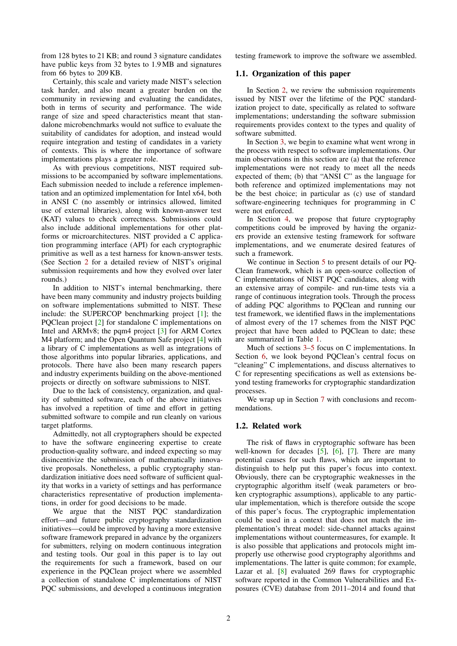from 128 bytes to 21 KB; and round 3 signature candidates have public keys from 32 bytes to 1.9 MB and signatures from 66 bytes to 209 KB.

Certainly, this scale and variety made NIST's selection task harder, and also meant a greater burden on the community in reviewing and evaluating the candidates, both in terms of security and performance. The wide range of size and speed characteristics meant that standalone microbenchmarks would not suffice to evaluate the suitability of candidates for adoption, and instead would require integration and testing of candidates in a variety of contexts. This is where the importance of software implementations plays a greater role.

As with previous competitions, NIST required submissions to be accompanied by software implementations. Each submission needed to include a reference implementation and an optimized implementation for Intel x64, both in ANSI C (no assembly or intrinsics allowed, limited use of external libraries), along with known-answer test (KAT) values to check correctness. Submissions could also include additional implementations for other platforms or microarchitectures. NIST provided a C application programming interface (API) for each cryptographic primitive as well as a test harness for known-answer tests. (See Section [2](#page-2-0) for a detailed review of NIST's original submission requirements and how they evolved over later rounds.)

In addition to NIST's internal benchmarking, there have been many community and industry projects building on software implementations submitted to NIST. These include: the SUPERCOP benchmarking project [[1\]](#page-9-0); the PQClean project [\[2](#page-9-1)] for standalone C implementations on Intel and ARMv8; the pqm4 project [[3\]](#page-9-2) for ARM Cortex M4 platform; and the Open Quantum Safe project [[4\]](#page-9-3) with a library of C implementations as well as integrations of those algorithms into popular libraries, applications, and protocols. There have also been many research papers and industry experiments building on the above-mentioned projects or directly on software submissions to NIST.

Due to the lack of consistency, organization, and quality of submitted software, each of the above initiatives has involved a repetition of time and effort in getting submitted software to compile and run cleanly on various target platforms.

Admittedly, not all cryptographers should be expected to have the software engineering expertise to create production-quality software, and indeed expecting so may disincentivize the submission of mathematically innovative proposals. Nonetheless, a public cryptography standardization initiative does need software of sufficient quality that works in a variety of settings and has performance characteristics representative of production implementations, in order for good decisions to be made.

We argue that the NIST PQC standardization effort—and future public cryptography standardization initiatives—could be improved by having a more extensive software framework prepared in advance by the organizers for submitters, relying on modern continuous integration and testing tools. Our goal in this paper is to lay out the requirements for such a framework, based on our experience in the PQClean project where we assembled a collection of standalone C implementations of NIST PQC submissions, and developed a continuous integration testing framework to improve the software we assembled.

### 1.1. Organization of this paper

In Section [2](#page-2-0), we review the submission requirements issued by NIST over the lifetime of the PQC standardization project to date, specifically as related to software implementations; understanding the software submission requirements provides context to the types and quality of software submitted.

In Section [3](#page-3-0), we begin to examine what went wrong in the process with respect to software implementations. Our main observations in this section are (a) that the reference implementations were not ready to meet all the needs expected of them; (b) that "ANSI C" as the language for both reference and optimized implementations may not be the best choice; in particular as (c) use of standard software-engineering techniques for programming in C were not enforced.

In Section [4](#page-6-0), we propose that future cryptography competitions could be improved by having the organizers provide an extensive testing framework for software implementations, and we enumerate desired features of such a framework.

We continue in Section [5](#page-7-0) to present details of our PQ-Clean framework, which is an open-source collection of C implementations of NIST PQC candidates, along with an extensive array of compile- and run-time tests via a range of continuous integration tools. Through the process of adding PQC algorithms to PQClean and running our test framework, we identified flaws in the implementations of almost every of the 17 schemes from the NIST PQC project that have been added to PQClean to date; these are summarized in Table [1](#page-9-4).

Much of sections [3–](#page-3-0)[5](#page-7-0) focus on C implementations. In Section [6](#page-8-0), we look beyond PQClean's central focus on "cleaning" C implementations, and discuss alternatives to C for representing specifications as well as extensions beyond testing frameworks for cryptographic standardization processes.

We wrap up in Section [7](#page-9-5) with conclusions and recommendations.

### 1.2. Related work

The risk of flaws in cryptographic software has been well-known for decades  $[5]$  $[5]$ ,  $[6]$  $[6]$ ,  $[7]$  $[7]$ . There are many potential causes for such flaws, which are important to distinguish to help put this paper's focus into context. Obviously, there can be cryptographic weaknesses in the cryptographic algorithm itself (weak parameters or broken cryptographic assumptions), applicable to any particular implementation, which is therefore outside the scope of this paper's focus. The cryptographic implementation could be used in a context that does not match the implementation's threat model: side-channel attacks against implementations without countermeasures, for example. It is also possible that applications and protocols might improperly use otherwise good cryptography algorithms and implementations. The latter is quite common; for example, Lazar et al. [[8\]](#page-9-9) evaluated 269 flaws for cryptographic software reported in the Common Vulnerabilities and Exposures (CVE) database from 2011–2014 and found that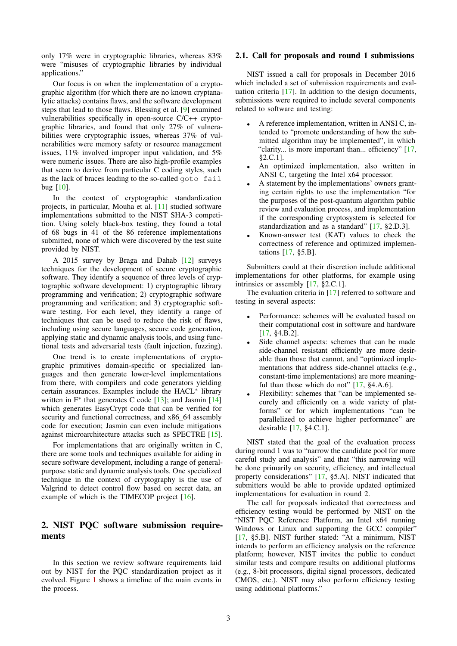only 17% were in cryptographic libraries, whereas 83% were "misuses of cryptographic libraries by individual applications."

Our focus is on when the implementation of a cryptographic algorithm (for which there are no known cryptanalytic attacks) contains flaws, and the software development steps that lead to those flaws. Blessing et al. [[9\]](#page-9-10) examined vulnerabilities specifically in open-source C/C++ cryptographic libraries, and found that only 27% of vulnerabilities were cryptographic issues, whereas 37% of vulnerabilities were memory safety or resource management issues, 11% involved improper input validation, and 5% were numeric issues. There are also high-profile examples that seem to derive from particular C coding styles, such as the lack of braces leading to the so-called goto fail bug [[10\]](#page-9-11).

In the context of cryptographic standardization projects, in particular, Mouha et al. [\[11](#page-10-0)] studied software implementations submitted to the NIST SHA-3 competition. Using solely black-box testing, they found a total of 68 bugs in 41 of the 86 reference implementations submitted, none of which were discovered by the test suite provided by NIST.

A 2015 survey by Braga and Dahab [\[12](#page-10-1)] surveys techniques for the development of secure cryptographic software. They identify a sequence of three levels of cryptographic software development: 1) cryptographic library programming and verification; 2) cryptographic software programming and verification; and 3) cryptographic software testing. For each level, they identify a range of techniques that can be used to reduce the risk of flaws, including using secure languages, secure code generation, applying static and dynamic analysis tools, and using functional tests and adversarial tests (fault injection, fuzzing).

One trend is to create implementations of cryptographic primitives domain-specific or specialized languages and then generate lower-level implementations from there, with compilers and code generators yielding certain assurances. Examples include the HACL*<sup>∗</sup>* library written in F<sup>∗</sup> that generates C code [\[13](#page-10-2)]; and Jasmin [\[14](#page-10-3)] which generates EasyCrypt code that can be verified for security and functional correctness, and x86\_64 assembly code for execution; Jasmin can even include mitigations against microarchitecture attacks such as SPECTRE [\[15](#page-10-4)].

For implementations that are originally written in C, there are some tools and techniques available for aiding in secure software development, including a range of generalpurpose static and dynamic analysis tools. One specialized technique in the context of cryptography is the use of Valgrind to detect control flow based on secret data, an example of which is the TIMECOP project [[16\]](#page-10-5).

# <span id="page-2-0"></span>2. NIST PQC software submission requirements

In this section we review software requirements laid out by NIST for the PQC standardization project as it evolved. Figure [1](#page-3-1) shows a timeline of the main events in the process.

### 2.1. Call for proposals and round 1 submissions

NIST issued a call for proposals in December 2016 which included a set of submission requirements and evaluation criteria [[17\]](#page-10-6). In addition to the design documents, submissions were required to include several components related to software and testing:

- *•* A reference implementation, written in ANSI C, intended to "promote understanding of how the submitted algorithm may be implemented", in which "clarity... is more important than... efficiency" [\[17](#page-10-6), §2.C.1].
- *•* An optimized implementation, also written in ANSI C, targeting the Intel x64 processor.
- *•* A statement by the implementations' owners granting certain rights to use the implementation "for the purposes of the post-quantum algorithm public review and evaluation process, and implementation if the corresponding cryptosystem is selected for standardization and as a standard" [\[17](#page-10-6), §2.D.3].
- *•* Known-answer test (KAT) values to check the correctness of reference and optimized implementations [\[17](#page-10-6), §5.B].

Submitters could at their discretion include additional implementations for other platforms, for example using intrinsics or assembly [[17,](#page-10-6) §2.C.1].

The evaluation criteria in [[17\]](#page-10-6) referred to software and testing in several aspects:

- Performance: schemes will be evaluated based on their computational cost in software and hardware [\[17](#page-10-6), §4.B.2].
- Side channel aspects: schemes that can be made side-channel resistant efficiently are more desirable than those that cannot, and "optimized implementations that address side-channel attacks (e.g., constant-time implementations) are more meaningful than those which do not"  $[17, §4.A.6]$  $[17, §4.A.6]$ .
- Flexibility: schemes that "can be implemented securely and efficiently on a wide variety of platforms" or for which implementations "can be parallelized to achieve higher performance" are desirable [[17,](#page-10-6) §4.C.1].

NIST stated that the goal of the evaluation process during round 1 was to "narrow the candidate pool for more careful study and analysis" and that "this narrowing will be done primarily on security, efficiency, and intellectual property considerations" [[17,](#page-10-6) §5.A]. NIST indicated that submitters would be able to provide updated optimized implementations for evaluation in round 2.

The call for proposals indicated that correctness and efficiency testing would be performed by NIST on the "NIST PQC Reference Platform, an Intel x64 running Windows or Linux and supporting the GCC compiler" [[17,](#page-10-6) §5.B]. NIST further stated: "At a minimum, NIST intends to perform an efficiency analysis on the reference platform; however, NIST invites the public to conduct similar tests and compare results on additional platforms (e.g., 8-bit processors, digital signal processors, dedicated CMOS, etc.). NIST may also perform efficiency testing using additional platforms."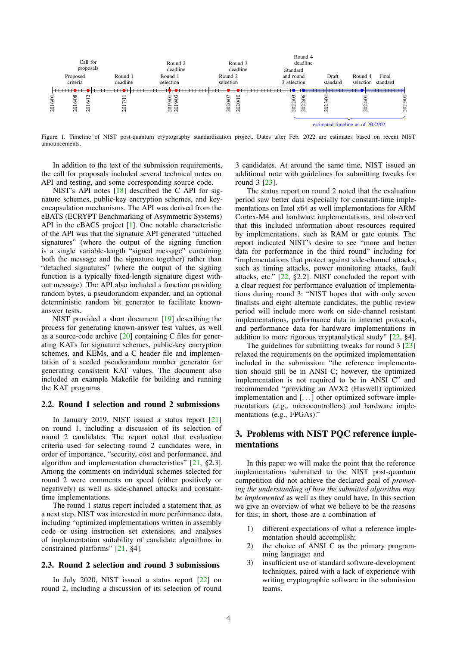

<span id="page-3-1"></span>Figure 1. Timeline of NIST post-quantum cryptography standardization project. Dates after Feb. 2022 are estimates based on recent NIST announcements.

In addition to the text of the submission requirements, the call for proposals included several technical notes on API and testing, and some corresponding source code.

NIST's API notes [\[18](#page-10-7)] described the C API for signature schemes, public-key encryption schemes, and keyencapsulation mechanisms. The API was derived from the eBATS (ECRYPT Benchmarking of Asymmetric Systems) API in the eBACS project [[1\]](#page-9-0). One notable characteristic of the API was that the signature API generated "attached signatures" (where the output of the signing function is a single variable-length "signed message" containing both the message and the signature together) rather than "detached signatures" (where the output of the signing function is a typically fixed-length signature digest without message). The API also included a function providing random bytes, a pseudorandom expander, and an optional deterministic random bit generator to facilitate knownanswer tests.

NIST provided a short document [[19\]](#page-10-8) describing the process for generating known-answer test values, as well as a source-code archive [\[20](#page-10-9)] containing C files for generating KATs for signature schemes, public-key encryption schemes, and KEMs, and a C header file and implementation of a seeded pseudorandom number generator for generating consistent KAT values. The document also included an example Makefile for building and running the KAT programs.

#### 2.2. Round 1 selection and round 2 submissions

In January 2019, NIST issued a status report [\[21](#page-10-10)] on round 1, including a discussion of its selection of round 2 candidates. The report noted that evaluation criteria used for selecting round 2 candidates were, in order of importance, "security, cost and performance, and algorithm and implementation characteristics" [[21,](#page-10-10) §2.3]. Among the comments on individual schemes selected for round 2 were comments on speed (either positively or negatively) as well as side-channel attacks and constanttime implementations.

The round 1 status report included a statement that, as a next step, NIST was interested in more performance data, including "optimized implementations written in assembly code or using instruction set extensions, and analyses of implementation suitability of candidate algorithms in constrained platforms" [\[21](#page-10-10), §4].

#### 2.3. Round 2 selection and round 3 submissions

In July 2020, NIST issued a status report [\[22](#page-10-11)] on round 2, including a discussion of its selection of round

3 candidates. At around the same time, NIST issued an additional note with guidelines for submitting tweaks for round 3 [\[23](#page-10-12)].

The status report on round 2 noted that the evaluation period saw better data especially for constant-time implementations on Intel x64 as well implementations for ARM Cortex-M4 and hardware implementations, and observed that this included information about resources required by implementations, such as RAM or gate counts. The report indicated NIST's desire to see "more and better data for performance in the third round" including for "implementations that protect against side-channel attacks, such as timing attacks, power monitoring attacks, fault attacks, etc." [[22,](#page-10-11) §2.2]. NIST concluded the report with a clear request for performance evaluation of implementations during round 3: "NIST hopes that with only seven finalists and eight alternate candidates, the public review period will include more work on side-channel resistant implementations, performance data in internet protocols, and performance data for hardware implementations in addition to more rigorous cryptanalytical study" [[22,](#page-10-11) §4].

The guidelines for submitting tweaks for round 3 [[23\]](#page-10-12) relaxed the requirements on the optimized implementation included in the submission: "the reference implementation should still be in ANSI C; however, the optimized implementation is not required to be in ANSI C" and recommended "providing an AVX2 (Haswell) optimized implementation and [...] other optimized software implementations (e.g., microcontrollers) and hardware implementations (e.g., FPGAs)."

## <span id="page-3-0"></span>3. Problems with NIST PQC reference implementations

In this paper we will make the point that the reference implementations submitted to the NIST post-quantum competition did not achieve the declared goal of *promoting the understanding of how the submitted algorithm may be implemented* as well as they could have. In this section we give an overview of what we believe to be the reasons for this; in short, those are a combination of

- 1) different expectations of what a reference implementation should accomplish;
- 2) the choice of ANSI C as the primary programming language; and
- 3) insufficient use of standard software-development techniques, paired with a lack of experience with writing cryptographic software in the submission teams.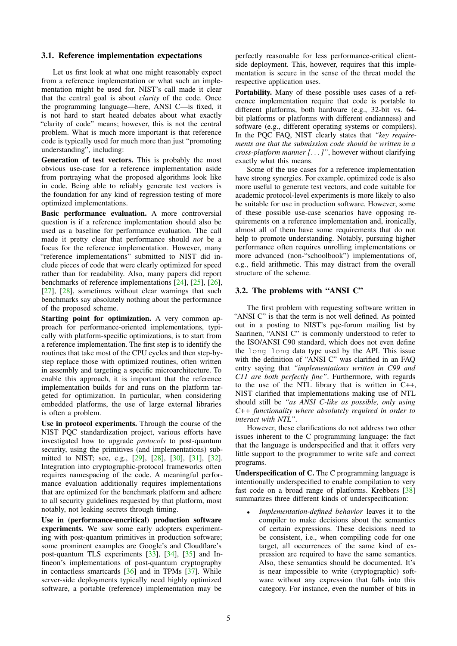### 3.1. Reference implementation expectations

Let us first look at what one might reasonably expect from a reference implementation or what such an implementation might be used for. NIST's call made it clear that the central goal is about *clarity* of the code. Once the programming language—here, ANSI C—is fixed, it is not hard to start heated debates about what exactly "clarity of code" means; however, this is not the central problem. What is much more important is that reference code is typically used for much more than just "promoting understanding", including:

Generation of test vectors. This is probably the most obvious use-case for a reference implementation aside from portraying what the proposed algorithms look like in code. Being able to reliably generate test vectors is the foundation for any kind of regression testing of more optimized implementations.

Basic performance evaluation. A more controversial question is if a reference implementation should also be used as a baseline for performance evaluation. The call made it pretty clear that performance should *not* be a focus for the reference implementation. However, many "reference implementations" submitted to NIST did include pieces of code that were clearly optimized for speed rather than for readability. Also, many papers did report benchmarks of reference implementations [[24\]](#page-10-13), [[25\]](#page-10-14), [\[26](#page-10-15)], [\[27](#page-10-16)], [\[28](#page-10-17)], sometimes without clear warnings that such benchmarks say absolutely nothing about the performance of the proposed scheme.

Starting point for optimization. A very common approach for performance-oriented implementations, typically with platform-specific optimizations, is to start from a reference implementation. The first step is to identify the routines that take most of the CPU cycles and then step-bystep replace those with optimized routines, often written in assembly and targeting a specific microarchitecture. To enable this approach, it is important that the reference implementation builds for and runs on the platform targeted for optimization. In particular, when considering embedded platforms, the use of large external libraries is often a problem.

Use in protocol experiments. Through the course of the NIST PQC standardization project, various efforts have investigated how to upgrade *protocols* to post-quantum security, using the primitives (and implementations) submitted to NIST; see, e.g., [\[29](#page-10-18)], [\[28](#page-10-17)], [[30\]](#page-10-19), [[31\]](#page-10-20), [[32\]](#page-10-21). Integration into cryptographic-protocol frameworks often requires namespacing of the code. A meaningful performance evaluation additionally requires implementations that are optimized for the benchmark platform and adhere to all security guidelines requested by that platform, most notably, not leaking secrets through timing.

Use in (performance-uncritical) production software experiments. We saw some early adopters experimenting with post-quantum primitives in production software; some prominent examples are Google's and Cloudflare's post-quantum TLS experiments [\[33](#page-10-22)], [\[34](#page-10-23)], [\[35](#page-10-24)] and Infineon's implementations of post-quantum cryptography in contactless smartcards [[36\]](#page-10-25) and in TPMs [\[37](#page-10-26)]. While server-side deployments typically need highly optimized software, a portable (reference) implementation may be

perfectly reasonable for less performance-critical clientside deployment. This, however, requires that this implementation is secure in the sense of the threat model the respective application uses.

Portability. Many of these possible uses cases of a reference implementation require that code is portable to different platforms, both hardware (e.g., 32-bit vs. 64 bit platforms or platforms with different endianness) and software (e.g., different operating systems or compilers). In the PQC FAQ, NIST clearly states that *"key requirements are that the submission code should be written in a cross-platform manner [. . .]"*, however without clarifying exactly what this means.

Some of the use cases for a reference implementation have strong synergies. For example, optimized code is also more useful to generate test vectors, and code suitable for academic protocol-level experiments is more likely to also be suitable for use in production software. However, some of these possible use-case scenarios have opposing requirements on a reference implementation and, ironically, almost all of them have some requirements that do not help to promote understanding. Notably, pursuing higher performance often requires unrolling implementations or more advanced (non-"schoolbook") implementations of, e.g., field arithmetic. This may distract from the overall structure of the scheme.

### 3.2. The problems with "ANSI C"

The first problem with requesting software written in "ANSI C" is that the term is not well defined. As pointed out in a posting to NIST's pqc-forum mailing list by Saarinen, "ANSI C" is commonly understood to refer to the ISO/ANSI C90 standard, which does not even define the long long data type used by the API. This issue with the definition of "ANSI C" was clarified in an FAQ entry saying that *"implementations written in C99 and C11 are both perfectly fine"*. Furthermore, with regards to the use of the NTL library that is written in C++, NIST clarified that implementations making use of NTL should still be *"as ANSI C-like as possible, only using C++ functionality where absolutely required in order to interact with NTL"*.

However, these clarifications do not address two other issues inherent to the C programming language: the fact that the language is underspecified and that it offers very little support to the programmer to write safe and correct programs.

Underspecification of C. The C programming language is intentionally underspecified to enable compilation to very fast code on a broad range of platforms. Krebbers [[38\]](#page-10-27) summarizes three different kinds of underspecification:

*• Implementation-defined behavior* leaves it to the compiler to make decisions about the semantics of certain expressions. These decisions need to be consistent, i.e., when compiling code for one target, all occurrences of the same kind of expression are required to have the same semantics. Also, these semantics should be documented. It's is near impossible to write (cryptographic) software without any expression that falls into this category. For instance, even the number of bits in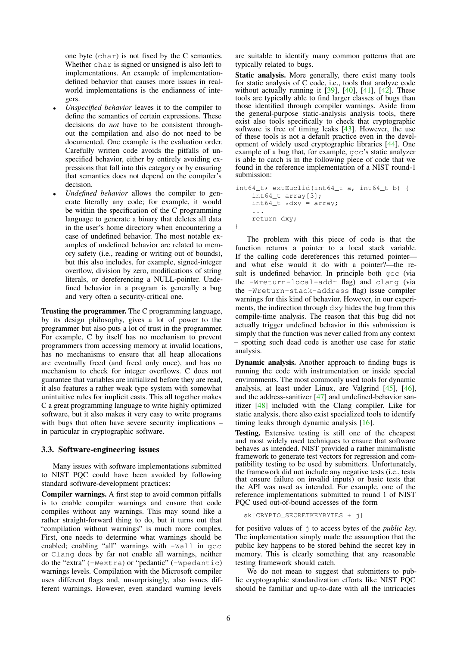one byte (char) is not fixed by the C semantics. Whether char is signed or unsigned is also left to implementations. An example of implementationdefined behavior that causes more issues in realworld implementations is the endianness of integers.

- *• Unspecified behavior* leaves it to the compiler to define the semantics of certain expressions. These decisions do *not* have to be consistent throughout the compilation and also do not need to be documented. One example is the evaluation order. Carefully written code avoids the pitfalls of unspecified behavior, either by entirely avoiding expressions that fall into this category or by ensuring that semantics does not depend on the compiler's decision.
- *• Undefined behavior* allows the compiler to generate literally any code; for example, it would be within the specification of the C programming language to generate a binary that deletes all data in the user's home directory when encountering a case of undefined behavior. The most notable examples of undefined behavior are related to memory safety (i.e., reading or writing out of bounds), but this also includes, for example, signed-integer overflow, division by zero, modifications of string literals, or dereferencing a NULL-pointer. Undefined behavior in a program is generally a bug and very often a security-critical one.

Trusting the programmer. The C programming language, by its design philosophy, gives a lot of power to the programmer but also puts a lot of trust in the programmer. For example, C by itself has no mechanism to prevent programmers from accessing memory at invalid locations, has no mechanisms to ensure that all heap allocations are eventually freed (and freed only once), and has no mechanism to check for integer overflows. C does not guarantee that variables are initialized before they are read, it also features a rather weak type system with somewhat unintuitive rules for implicit casts. This all together makes C a great programming language to write highly optimized software, but it also makes it very easy to write programs with bugs that often have severe security implications – in particular in cryptographic software.

### 3.3. Software-engineering issues

Many issues with software implementations submitted to NIST PQC could have been avoided by following standard software-development practices:

Compiler warnings. A first step to avoid common pitfalls is to enable compiler warnings and ensure that code compiles without any warnings. This may sound like a rather straight-forward thing to do, but it turns out that "compilation without warnings" is much more complex. First, one needs to determine what warnings should be enabled; enabling "all" warnings with -Wall in gcc or Clang does by far not enable all warnings, neither do the "extra" (-Wextra) or "pedantic" (-Wpedantic) warnings levels. Compilation with the Microsoft compiler uses different flags and, unsurprisingly, also issues different warnings. However, even standard warning levels

are suitable to identify many common patterns that are typically related to bugs.

Static analysis. More generally, there exist many tools for static analysis of C code, i.e., tools that analyze code without actually running it  $[39]$  $[39]$ ,  $[40]$  $[40]$ ,  $[41]$  $[41]$ ,  $[42]$  $[42]$ . These tools are typically able to find larger classes of bugs than those identified through compiler warnings. Aside from the general-purpose static-analysis analysis tools, there exist also tools specifically to check that cryptographic software is free of timing leaks [\[43](#page-10-32)]. However, the use of these tools is not a default practice even in the development of widely used cryptographic libraries [[44\]](#page-10-33). One example of a bug that, for example, gcc's static analyzer is able to catch is in the following piece of code that we found in the reference implementation of a NIST round-1 submission:

```
int64_t * extEuclid(int64_t a, int64_t b) {
    int64_t array[3];
    int64_t \times dxy = array;...
    return dxy;
}
```
The problem with this piece of code is that the function returns a pointer to a local stack variable. If the calling code dereferences this returned pointer and what else would it do with a pointer?—the result is undefined behavior. In principle both gcc (via the -Wreturn-local-addr flag) and clang (via the -Wreturn-stack-address flag) issue compiler warnings for this kind of behavior. However, in our experiments, the indirection through dxy hides the bug from this compile-time analysis. The reason that this bug did not actually trigger undefined behavior in this submission is simply that the function was never called from any context – spotting such dead code is another use case for static analysis.

Dynamic analysis. Another approach to finding bugs is running the code with instrumentation or inside special environments. The most commonly used tools for dynamic analysis, at least under Linux, are Valgrind [\[45](#page-11-0)], [[46\]](#page-11-1), and the address-sanitizer [\[47](#page-11-2)] and undefined-behavior sanitizer [[48\]](#page-11-3) included with the Clang compiler. Like for static analysis, there also exist specialized tools to identify timing leaks through dynamic analysis [[16\]](#page-10-5).

Testing. Extensive testing is still one of the cheapest and most widely used techniques to ensure that software behaves as intended. NIST provided a rather minimalistic framework to generate test vectors for regression and compatibility testing to be used by submitters. Unfortunately, the framework did not include any negative tests (i.e., tests that ensure failure on invalid inputs) or basic tests that the API was used as intended. For example, one of the reference implementations submitted to round 1 of NIST PQC used out-of-bound accesses of the form

sk[CRYPTO\_SECRETKEYBYTES + j]

for positive values of j to access bytes of the *public key*. The implementation simply made the assumption that the public key happens to be stored behind the secret key in memory. This is clearly something that any reasonable testing framework should catch.

We do not mean to suggest that submitters to public cryptographic standardization efforts like NIST PQC should be familiar and up-to-date with all the intricacies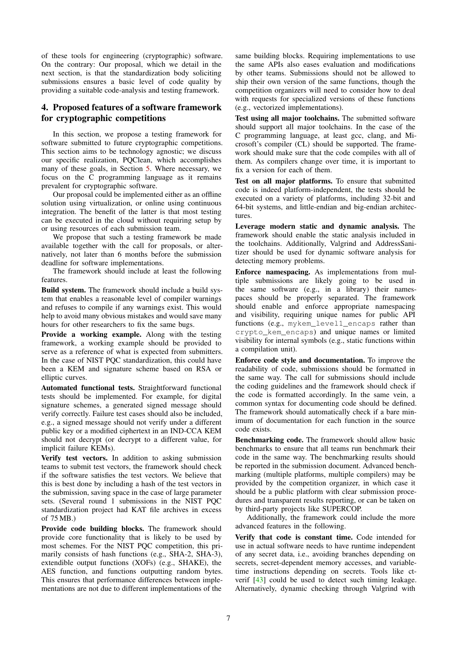of these tools for engineering (cryptographic) software. On the contrary: Our proposal, which we detail in the next section, is that the standardization body soliciting submissions ensures a basic level of code quality by providing a suitable code-analysis and testing framework.

## <span id="page-6-0"></span>4. Proposed features of a software framework for cryptographic competitions

In this section, we propose a testing framework for software submitted to future cryptographic competitions. This section aims to be technology agnostic; we discuss our specific realization, PQClean, which accomplishes many of these goals, in Section [5](#page-7-0). Where necessary, we focus on the C programming language as it remains prevalent for cryptographic software.

Our proposal could be implemented either as an offline solution using virtualization, or online using continuous integration. The benefit of the latter is that most testing can be executed in the cloud without requiring setup by or using resources of each submission team.

We propose that such a testing framework be made available together with the call for proposals, or alternatively, not later than 6 months before the submission deadline for software implementations.

The framework should include at least the following features.

Build system. The framework should include a build system that enables a reasonable level of compiler warnings and refuses to compile if any warnings exist. This would help to avoid many obvious mistakes and would save many hours for other researchers to fix the same bugs.

Provide a working example. Along with the testing framework, a working example should be provided to serve as a reference of what is expected from submitters. In the case of NIST PQC standardization, this could have been a KEM and signature scheme based on RSA or elliptic curves.

Automated functional tests. Straightforward functional tests should be implemented. For example, for digital signature schemes, a generated signed message should verify correctly. Failure test cases should also be included, e.g., a signed message should not verify under a different public key or a modified ciphertext in an IND-CCA KEM should not decrypt (or decrypt to a different value, for implicit failure KEMs).

Verify test vectors. In addition to asking submission teams to submit test vectors, the framework should check if the software satisfies the test vectors. We believe that this is best done by including a hash of the test vectors in the submission, saving space in the case of large parameter sets. (Several round 1 submissions in the NIST PQC standardization project had KAT file archives in excess of 75 MB.)

Provide code building blocks. The framework should provide core functionality that is likely to be used by most schemes. For the NIST PQC competition, this primarily consists of hash functions (e.g., SHA-2, SHA-3), extendible output functions (XOFs) (e.g., SHAKE), the AES function, and functions outputting random bytes. This ensures that performance differences between implementations are not due to different implementations of the

same building blocks. Requiring implementations to use the same APIs also eases evaluation and modifications by other teams. Submissions should not be allowed to ship their own version of the same functions, though the competition organizers will need to consider how to deal with requests for specialized versions of these functions (e.g., vectorized implementations).

Test using all major toolchains. The submitted software should support all major toolchains. In the case of the C programming language, at least gcc, clang, and Microsoft's compiler (CL) should be supported. The framework should make sure that the code compiles with all of them. As compilers change over time, it is important to fix a version for each of them.

Test on all major platforms. To ensure that submitted code is indeed platform-independent, the tests should be executed on a variety of platforms, including 32-bit and 64-bit systems, and little-endian and big-endian architectures.

Leverage modern static and dynamic analysis. The framework should enable the static analysis included in the toolchains. Additionally, Valgrind and AddressSanitizer should be used for dynamic software analysis for detecting memory problems.

Enforce namespacing. As implementations from multiple submissions are likely going to be used in the same software (e.g., in a library) their namespaces should be properly separated. The framework should enable and enforce appropriate namespacing and visibility, requiring unique names for public API functions (e.g., mykem\_level1\_encaps rather than crypto\_kem\_encaps) and unique names or limited visibility for internal symbols (e.g., static functions within a compilation unit).

Enforce code style and documentation. To improve the readability of code, submissions should be formatted in the same way. The call for submissions should include the coding guidelines and the framework should check if the code is formatted accordingly. In the same vein, a common syntax for documenting code should be defined. The framework should automatically check if a bare minimum of documentation for each function in the source code exists.

Benchmarking code. The framework should allow basic benchmarks to ensure that all teams run benchmark their code in the same way. The benchmarking results should be reported in the submission document. Advanced benchmarking (multiple platforms, multiple compilers) may be provided by the competition organizer, in which case it should be a public platform with clear submission procedures and transparent results reporting, or can be taken on by third-party projects like SUPERCOP.

Additionally, the framework could include the more advanced features in the following.

Verify that code is constant time. Code intended for use in actual software needs to have runtime independent of any secret data, i.e., avoiding branches depending on secrets, secret-dependent memory accesses, and variabletime instructions depending on secrets. Tools like ctverif [\[43](#page-10-32)] could be used to detect such timing leakage. Alternatively, dynamic checking through Valgrind with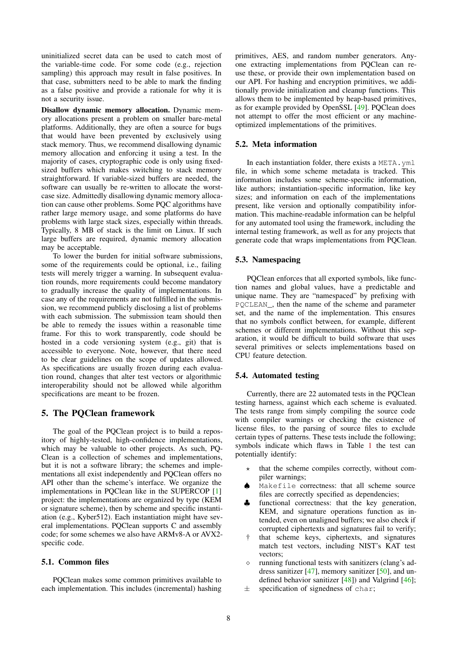uninitialized secret data can be used to catch most of the variable-time code. For some code (e.g., rejection sampling) this approach may result in false positives. In that case, submitters need to be able to mark the finding as a false positive and provide a rationale for why it is not a security issue.

Disallow dynamic memory allocation. Dynamic memory allocations present a problem on smaller bare-metal platforms. Additionally, they are often a source for bugs that would have been prevented by exclusively using stack memory. Thus, we recommend disallowing dynamic memory allocation and enforcing it using a test. In the majority of cases, cryptographic code is only using fixedsized buffers which makes switching to stack memory straightforward. If variable-sized buffers are needed, the software can usually be re-written to allocate the worstcase size. Admittedly disallowing dynamic memory allocation can cause other problems. Some PQC algorithms have rather large memory usage, and some platforms do have problems with large stack sizes, especially within threads. Typically, 8 MB of stack is the limit on Linux. If such large buffers are required, dynamic memory allocation may be acceptable.

To lower the burden for initial software submissions, some of the requirements could be optional, i.e., failing tests will merely trigger a warning. In subsequent evaluation rounds, more requirements could become mandatory to gradually increase the quality of implementations. In case any of the requirements are not fulfilled in the submission, we recommend publicly disclosing a list of problems with each submission. The submission team should then be able to remedy the issues within a reasonable time frame. For this to work transparently, code should be hosted in a code versioning system (e.g., git) that is accessible to everyone. Note, however, that there need to be clear guidelines on the scope of updates allowed. As specifications are usually frozen during each evaluation round, changes that alter test vectors or algorithmic interoperability should not be allowed while algorithm specifications are meant to be frozen.

### <span id="page-7-0"></span>5. The PQClean framework

The goal of the PQClean project is to build a repository of highly-tested, high-confidence implementations, which may be valuable to other projects. As such, PQ-Clean is a collection of schemes and implementations, but it is not a software library; the schemes and implementations all exist independently and PQClean offers no API other than the scheme's interface. We organize the implementations in PQClean like in the SUPERCOP [\[1](#page-9-0)] project: the implementations are organized by type (KEM or signature scheme), then by scheme and specific instantiation (e.g., Kyber512). Each instantiation might have several implementations. PQClean supports C and assembly code; for some schemes we also have ARMv8-A or AVX2 specific code.

### 5.1. Common files

PQClean makes some common primitives available to each implementation. This includes (incremental) hashing primitives, AES, and random number generators. Anyone extracting implementations from PQClean can reuse these, or provide their own implementation based on our API. For hashing and encryption primitives, we additionally provide initialization and cleanup functions. This allows them to be implemented by heap-based primitives, as for example provided by OpenSSL [\[49](#page-11-4)]. PQClean does not attempt to offer the most efficient or any machineoptimized implementations of the primitives.

### 5.2. Meta information

In each instantiation folder, there exists a META.yml file, in which some scheme metadata is tracked. This information includes some scheme-specific information, like authors; instantiation-specific information, like key sizes; and information on each of the implementations present, like version and optionally compatibility information. This machine-readable information can be helpful for any automated tool using the framework, including the internal testing framework, as well as for any projects that generate code that wraps implementations from PQClean.

### 5.3. Namespacing

PQClean enforces that all exported symbols, like function names and global values, have a predictable and unique name. They are "namespaced" by prefixing with PQCLEAN\_, then the name of the scheme and parameter set, and the name of the implementation. This ensures that no symbols conflict between, for example, different schemes or different implementations. Without this separation, it would be difficult to build software that uses several primitives or selects implementations based on CPU feature detection.

### <span id="page-7-1"></span>5.4. Automated testing

Currently, there are 22 automated tests in the PQClean testing harness, against which each scheme is evaluated. The tests range from simply compiling the source code with compiler warnings or checking the existence of license files, to the parsing of source files to exclude certain types of patterns. These tests include the following; symbols indicate which flaws in Table [1](#page-9-4) the test can potentially identify:

- that the scheme compiles correctly, without compiler warnings;
- *♠* Makefile correctness: that all scheme source files are correctly specified as dependencies;
- functional correctness: that the key generation, KEM, and signature operations function as intended, even on unaligned buffers; we also check if corrupted ciphertexts and signatures fail to verify;
- that scheme keys, ciphertexts, and signatures match test vectors, including NIST's KAT test vectors;
- running functional tests with sanitizers (clang's address sanitizer  $[47]$  $[47]$ , memory sanitizer  $[50]$  $[50]$ , and undefined behavior sanitizer  $[48]$  $[48]$ ) and Valgrind  $[46]$  $[46]$ ;
- *±* specification of signedness of char;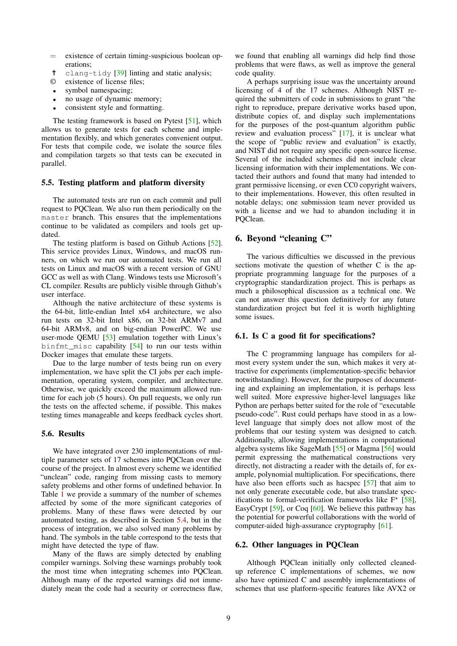- = existence of certain timing-suspicious boolean operations;
- clang-tidy [[39\]](#page-10-28) linting and static analysis;
- © existence of license files;
- *•* symbol namespacing;
- *•* no usage of dynamic memory;
- *•* consistent style and formatting.

The testing framework is based on Pytest [\[51](#page-11-6)], which allows us to generate tests for each scheme and implementation flexibly, and which generates convenient output. For tests that compile code, we isolate the source files and compilation targets so that tests can be executed in parallel.

#### 5.5. Testing platform and platform diversity

The automated tests are run on each commit and pull request to PQClean. We also run them periodically on the master branch. This ensures that the implementations continue to be validated as compilers and tools get updated

The testing platform is based on Github Actions [[52\]](#page-11-7). This service provides Linux, Windows, and macOS runners, on which we run our automated tests. We run all tests on Linux and macOS with a recent version of GNU GCC as well as with Clang. Windows tests use Microsoft's CL compiler. Results are publicly visible through Github's user interface.

Although the native architecture of these systems is the 64-bit, little-endian Intel x64 architecture, we also run tests on 32-bit Intel x86, on 32-bit ARMv7 and 64-bit ARMv8, and on big-endian PowerPC. We use user-mode QEMU [\[53](#page-11-8)] emulation together with Linux's binfmt\_misc capability  $[54]$  $[54]$  to run our tests within Docker images that emulate these targets.

Due to the large number of tests being run on every implementation, we have split the CI jobs per each implementation, operating system, compiler, and architecture. Otherwise, we quickly exceed the maximum allowed runtime for each job (5 hours). On pull requests, we only run the tests on the affected scheme, if possible. This makes testing times manageable and keeps feedback cycles short.

### 5.6. Results

We have integrated over 230 implementations of multiple parameter sets of 17 schemes into PQClean over the course of the project. In almost every scheme we identified "unclean" code, ranging from missing casts to memory safety problems and other forms of undefined behavior. In Table [1](#page-9-4) we provide a summary of the number of schemes affected by some of the more significant categories of problems. Many of these flaws were detected by our automated testing, as described in Section [5.4,](#page-7-1) but in the process of integration, we also solved many problems by hand. The symbols in the table correspond to the tests that might have detected the type of flaw.

Many of the flaws are simply detected by enabling compiler warnings. Solving these warnings probably took the most time when integrating schemes into PQClean. Although many of the reported warnings did not immediately mean the code had a security or correctness flaw, we found that enabling all warnings did help find those problems that were flaws, as well as improve the general code quality.

A perhaps surprising issue was the uncertainty around licensing of 4 of the 17 schemes. Although NIST required the submitters of code in submissions to grant "the right to reproduce, prepare derivative works based upon, distribute copies of, and display such implementations for the purposes of the post-quantum algorithm public review and evaluation process" [[17\]](#page-10-6), it is unclear what the scope of "public review and evaluation" is exactly, and NIST did not require any specific open-source license. Several of the included schemes did not include clear licensing information with their implementations. We contacted their authors and found that many had intended to grant permissive licensing, or even CC0 copyright waivers, to their implementations. However, this often resulted in notable delays; one submission team never provided us with a license and we had to abandon including it in PQClean.

### <span id="page-8-0"></span>6. Beyond "cleaning C"

The various difficulties we discussed in the previous sections motivate the question of whether C is the appropriate programming language for the purposes of a cryptographic standardization project. This is perhaps as much a philosophical discussion as a technical one. We can not answer this question definitively for any future standardization project but feel it is worth highlighting some issues.

#### 6.1. Is C a good fit for specifications?

The C programming language has compilers for almost every system under the sun, which makes it very attractive for experiments (implementation-specific behavior notwithstanding). However, for the purposes of documenting and explaining an implementation, it is perhaps less well suited. More expressive higher-level languages like Python are perhaps better suited for the role of "executable pseudo-code". Rust could perhaps have stood in as a lowlevel language that simply does not allow most of the problems that our testing system was designed to catch. Additionally, allowing implementations in computational algebra systems like SageMath [\[55](#page-11-10)] or Magma [\[56](#page-11-11)] would permit expressing the mathematical constructions very directly, not distracting a reader with the details of, for example, polynomial multiplication. For specifications, there have also been efforts such as hacspec [\[57](#page-11-12)] that aim to not only generate executable code, but also translate specifications to formal-verification frameworks like F*<sup>⋆</sup>* [[58\]](#page-11-13), EasyCrypt [\[59](#page-11-14)], or Coq [[60\]](#page-11-15). We believe this pathway has the potential for powerful collaborations with the world of computer-aided high-assurance cryptography [\[61](#page-11-16)].

### 6.2. Other languages in PQClean

Although PQClean initially only collected cleanedup reference C implementations of schemes, we now also have optimized C and assembly implementations of schemes that use platform-specific features like AVX2 or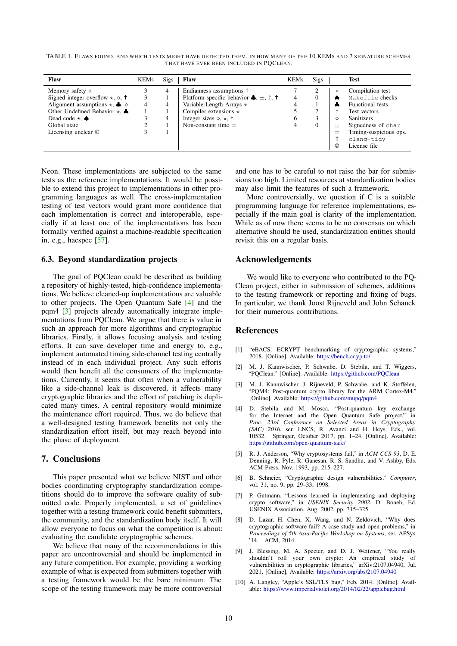<span id="page-9-4"></span>TABLE 1. FLAWS FOUND, AND WHICH TESTS MIGHT HAVE DETECTED THEM, IN HOW MANY OF THE 10 KEMS AND 7 SIGNATURE SCHEMES THAT HAVE EVER BEEN INCLUDED IN PQCLEAN.

| Flaw                                                     | <b>KEMs</b> | <b>Sigs</b> | <b>Flaw</b>                                                            | <b>KEMs</b> | <b>Sigs</b> | <b>Test</b>                   |
|----------------------------------------------------------|-------------|-------------|------------------------------------------------------------------------|-------------|-------------|-------------------------------|
| Memory safety $\diamond$                                 |             | 4           | Endianness assumptions †                                               |             | ∠           | Compilation test<br>$\ast$    |
| Signed integer overflow $\star$ , $\diamond$ , $\dagger$ |             |             | Platform-specific behavior $\clubsuit$ , $\pm$ , $\dagger$ , $\dagger$ |             |             | Makefile checks               |
| Alignment assumptions $\star$ , $\clubsuit$ , $\diamond$ | 4           | 4           | Variable-Length Arrays $\star$                                         |             |             | <b>Functional tests</b>       |
| Other Undefined Behavior $\star$ , $\clubsuit$           |             |             | Compiler extensions $\star$                                            |             | ◠<br>∠      | Test vectors                  |
| Dead code $\star$ , $\spadesuit$                         |             | 4           | Integer sizes $\diamond$ , $\star$ , $\dagger$                         | h           |             | <b>Sanitizers</b><br>♦        |
| Global state                                             |             |             | Non-constant time $=$                                                  |             |             | Signedness of char            |
| Licensing unclear ©                                      |             |             |                                                                        |             |             | Timing-suspicious ops.<br>$=$ |
|                                                          |             |             |                                                                        |             |             | clang-tidy                    |
|                                                          |             |             |                                                                        |             | $^{\circ}$  | License file                  |

Neon. These implementations are subjected to the same tests as the reference implementations. It would be possible to extend this project to implementations in other programming languages as well. The cross-implementation testing of test vectors would grant more confidence that each implementation is correct and interoperable, especially if at least one of the implementations has been formally verified against a machine-readable specification in, e.g., hacspec [[57\]](#page-11-12).

### 6.3. Beyond standardization projects

The goal of PQClean could be described as building a repository of highly-tested, high-confidence implementations. We believe cleaned-up implementations are valuable to other projects. The Open Quantum Safe [\[4](#page-9-3)] and the pqm4 [\[3](#page-9-2)] projects already automatically integrate implementations from PQClean. We argue that there is value in such an approach for more algorithms and cryptographic libraries. Firstly, it allows focusing analysis and testing efforts. It can save developer time and energy to, e.g., implement automated timing side-channel testing centrally instead of in each individual project. Any such efforts would then benefit all the consumers of the implementations. Currently, it seems that often when a vulnerability like a side-channel leak is discovered, it affects many cryptographic libraries and the effort of patching is duplicated many times. A central repository would minimize the maintenance effort required. Thus, we do believe that a well-designed testing framework benefits not only the standardization effort itself, but may reach beyond into the phase of deployment.

### <span id="page-9-5"></span>7. Conclusions

This paper presented what we believe NIST and other bodies coordinating cryptography standardization competitions should do to improve the software quality of submitted code. Properly implemented, a set of guidelines together with a testing framework could benefit submitters, the community, and the standardization body itself. It will allow everyone to focus on what the competition is about: evaluating the candidate cryptographic schemes.

We believe that many of the recommendations in this paper are uncontroversial and should be implemented in any future competition. For example, providing a working example of what is expected from submitters together with a testing framework would be the bare minimum. The scope of the testing framework may be more controversial and one has to be careful to not raise the bar for submissions too high. Limited resources at standardization bodies may also limit the features of such a framework.

More controversially, we question if C is a suitable programming language for reference implementations, especially if the main goal is clarity of the implementation. While as of now there seems to be no consensus on which alternative should be used, standardization entities should revisit this on a regular basis.

### Acknowledgements

We would like to everyone who contributed to the PQ-Clean project, either in submission of schemes, additions to the testing framework or reporting and fixing of bugs. In particular, we thank Joost Rijneveld and John Schanck for their numerous contributions.

### References

- <span id="page-9-0"></span>[1] "eBACS: ECRYPT benchmarking of cryptographic systems," 2018. [Online]. Available: <https://bench.cr.yp.to/>
- <span id="page-9-1"></span>[2] M. J. Kannwischer, P. Schwabe, D. Stebila, and T. Wiggers, "PQClean." [Online]. Available: <https://github.com/PQClean>
- <span id="page-9-2"></span>[3] M. J. Kannwischer, J. Rijneveld, P. Schwabe, and K. Stoffelen, "PQM4: Post-quantum crypto library for the ARM Cortex-M4." [Online]. Available: <https://github.com/mupq/pqm4>
- <span id="page-9-3"></span>[4] D. Stebila and M. Mosca, "Post-quantum key exchange for the Internet and the Open Quantum Safe project," in *Proc. 23rd Conference on Selected Areas in Cryptography (SAC) 2016*, ser. LNCS, R. Avanzi and H. Heys, Eds., vol. 10532. Springer, October 2017, pp. 1–24. [Online]. Available: <https://github.com/open-quantum-safe/>
- <span id="page-9-6"></span>[5] R. J. Anderson, "Why cryptosystems fail," in *ACM CCS 93*, D. E. Denning, R. Pyle, R. Ganesan, R. S. Sandhu, and V. Ashby, Eds. ACM Press, Nov. 1993, pp. 215–227.
- <span id="page-9-7"></span>[6] B. Schneier, "Cryptographic design vulnerabilities," *Computer*, vol. 31, no. 9, pp. 29–33, 1998.
- <span id="page-9-8"></span>[7] P. Gutmann, "Lessons learned in implementing and deploying crypto software," in *USENIX Security 2002*, D. Boneh, Ed. USENIX Association, Aug. 2002, pp. 315–325.
- <span id="page-9-9"></span>[8] D. Lazar, H. Chen, X. Wang, and N. Zeldovich, "Why does cryptographic software fail? A case study and open problems," in *Proceedings of 5th Asia-Pacific Workshop on Systems*, ser. APSys '14. ACM, 2014.
- <span id="page-9-10"></span>[9] J. Blessing, M. A. Specter, and D. J. Weitzner, "You really shouldn't roll your own crypto: An empirical study of vulnerabilities in cryptographic libraries," arXiv:2107.04940, Jul. 2021. [Online]. Available: <https://arxiv.org/abs/2107.04940>
- <span id="page-9-11"></span>[10] A. Langley, "Apple's SSL/TLS bug," Feb. 2014. [Online]. Available: <https://www.imperialviolet.org/2014/02/22/applebug.html>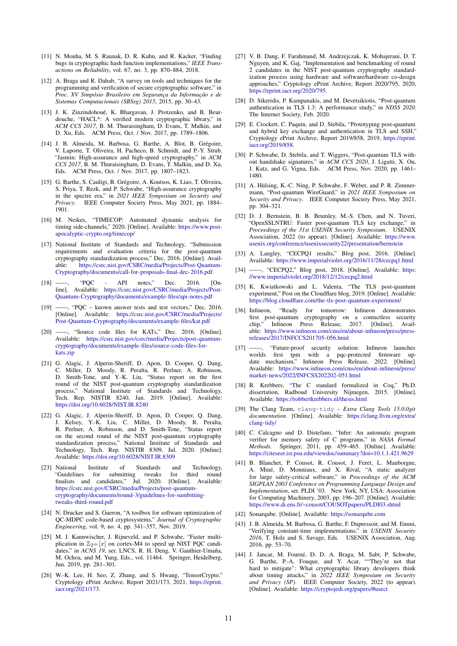- <span id="page-10-0"></span>[11] N. Mouha, M. S. Raunak, D. R. Kuhn, and R. Kacker, "Finding bugs in cryptographic hash function implementations," *IEEE Transactions on Reliability*, vol. 67, no. 3, pp. 870–884, 2018.
- <span id="page-10-1"></span>[12] A. Braga and R. Dahab, "A survey on tools and techniques for the programming and verification of secure cryptographic software," in *Proc. XV Simpósio Brasileiro em Segurança da Informação e de Sistemas Computacionais (SBSeg) 2015*, 2015, pp. 30–43.
- <span id="page-10-2"></span>[13] J. K. Zinzindohoué, K. Bhargavan, J. Protzenko, and B. Beurdouche, "HACL\*: A verified modern cryptographic library," in *ACM CCS 2017*, B. M. Thuraisingham, D. Evans, T. Malkin, and D. Xu, Eds. ACM Press, Oct. / Nov. 2017, pp. 1789–1806.
- <span id="page-10-3"></span>[14] J. B. Almeida, M. Barbosa, G. Barthe, A. Blot, B. Grégoire, V. Laporte, T. Oliveira, H. Pacheco, B. Schmidt, and P.-Y. Strub, "Jasmin: High-assurance and high-speed cryptography," in *ACM CCS 2017*, B. M. Thuraisingham, D. Evans, T. Malkin, and D. Xu, Eds. ACM Press, Oct. / Nov. 2017, pp. 1807–1823.
- <span id="page-10-4"></span>[15] G. Barthe, S. Cauligi, B. Grégoire, A. Koutsos, K. Liao, T. Oliveira, S. Priya, T. Rezk, and P. Schwabe, "High-assurance cryptography in the spectre era," in *2021 IEEE Symposium on Security and Privacy*. IEEE Computer Society Press, May 2021, pp. 1884– 1901.
- <span id="page-10-5"></span>[16] M. Neikes, "TIMECOP: Automated dynamic analysis for timing side-channels," 2020. [Online]. Available: [https://www.post](https://www.post-apocalyptic-crypto.org/timecop/)[apocalyptic-crypto.org/timecop/](https://www.post-apocalyptic-crypto.org/timecop/)
- <span id="page-10-6"></span>[17] National Institute of Standards and Technology, "Submission requirements and evaluation criteria for the post-quantum cryptography standardization process," Dec. 2016. [Online]. Available: [https://csrc.nist.gov/CSRC/media/Projects/Post-Quantum-](https://csrc.nist.gov/CSRC/media/Projects/Post-Quantum-Cryptography/documents/call-for-proposals-final-dec-2016.pdf)[Cryptography/documents/call-for-proposals-final-dec-2016.pdf](https://csrc.nist.gov/CSRC/media/Projects/Post-Quantum-Cryptography/documents/call-for-proposals-final-dec-2016.pdf)
- <span id="page-10-7"></span>[18] ——, "PQC - API notes," Dec. 2016. [Online]. Available: [https://csrc.nist.gov/CSRC/media/Projects/Post-](https://csrc.nist.gov/CSRC/media/Projects/Post-Quantum-Cryptography/documents/example-files/api-notes.pdf)[Quantum-Cryptography/documents/example-files/api-notes.pdf](https://csrc.nist.gov/CSRC/media/Projects/Post-Quantum-Cryptography/documents/example-files/api-notes.pdf)
- <span id="page-10-8"></span>p., "PQC – known answer tests and test vectors," Dec. 2016. [Online]. Available: [https://csrc.nist.gov/CSRC/media/Projects/](https://csrc.nist.gov/CSRC/media/Projects/Post-Quantum-Cryptography/documents/example-files/kat.pdf) [Post-Quantum-Cryptography/documents/example-files/kat.pdf](https://csrc.nist.gov/CSRC/media/Projects/Post-Quantum-Cryptography/documents/example-files/kat.pdf)
- <span id="page-10-9"></span>[20] ——, "Source code files for KATs," Dec. 2016. [Online]. Available: [https://csrc.nist.gov/csrc/media/Projects/post-quantum](https://csrc.nist.gov/csrc/media/Projects/post-quantum-cryptography/documents/example-files/source-code-files-for-kats.zip)[cryptography/documents/example-files/source-code-files-for](https://csrc.nist.gov/csrc/media/Projects/post-quantum-cryptography/documents/example-files/source-code-files-for-kats.zip)[kats.zip](https://csrc.nist.gov/csrc/media/Projects/post-quantum-cryptography/documents/example-files/source-code-files-for-kats.zip)
- <span id="page-10-10"></span>[21] G. Alagic, J. Alperin-Sheriff, D. Apon, D. Cooper, Q. Dang, C. Miller, D. Moody, R. Peralta, R. Perlner, A. Robinson, D. Smith-Tone, and Y.-K. Liu, "Status report on the first round of the NIST post-quantum cryptography standardization process," National Institute of Standards and Technology, Tech. Rep. NISTIR 8240, Jan. 2019. [Online]. Available: <https://doi.org/10.6028/NIST.IR.8240>
- <span id="page-10-11"></span>[22] G. Alagic, J. Alperin-Sheriff, D. Apon, D. Cooper, Q. Dang, J. Kelsey, Y.-K. Liu, C. Miller, D. Moody, R. Peralta, R. Perlner, A. Robinson, and D. Smith-Tone, "Status report on the second round of the NIST post-quantum cryptography standardization process," National Institute of Standards and Technology, Tech. Rep. NISTIR 8309, Jul. 2020. [Online]. Available: <https://doi.org/10.6028/NIST.IR.8309>
- <span id="page-10-12"></span>[23] National Institute of Standards and Technology, "Guidelines for submitting tweaks for third round finalists and candidates," Jul. 2020. [Online]. Available: [https://csrc.nist.gov/CSRC/media/Projects/post-quantum](https://csrc.nist.gov/CSRC/media/Projects/post-quantum-cryptography/documents/round-3/guidelines-for-sumbitting-tweaks-third-round.pdf)[cryptography/documents/round-3/guidelines-for-sumbitting](https://csrc.nist.gov/CSRC/media/Projects/post-quantum-cryptography/documents/round-3/guidelines-for-sumbitting-tweaks-third-round.pdf)[tweaks-third-round.pdf](https://csrc.nist.gov/CSRC/media/Projects/post-quantum-cryptography/documents/round-3/guidelines-for-sumbitting-tweaks-third-round.pdf)
- <span id="page-10-13"></span>[24] N. Drucker and S. Gueron, "A toolbox for software optimization of QC-MDPC code-based cryptosystems," *Journal of Cryptographic Engineering*, vol. 9, no. 4, pp. 341–357, Nov. 2019.
- <span id="page-10-14"></span>[25] M. J. Kannwischer, J. Rijneveld, and P. Schwabe, "Faster multiplication in  $\mathbb{Z}_{2^m}[x]$  on cortex-M4 to speed up NIST PQC candidates," in *ACNS 19*, ser. LNCS, R. H. Deng, V. Gauthier-Umaña, M. Ochoa, and M. Yung, Eds., vol. 11464. Springer, Heidelberg, Jun. 2019, pp. 281–301.
- <span id="page-10-15"></span>[26] W.-K. Lee, H. Seo, Z. Zhang, and S. Hwang, "TensorCrypto," Cryptology ePrint Archive, Report 2021/173, 2021, [https://eprint.](https://eprint.iacr.org/2021/173) [iacr.org/2021/173.](https://eprint.iacr.org/2021/173)
- <span id="page-10-16"></span>[27] V. B. Dang, F. Farahmand, M. Andrzejczak, K. Mohajerani, D. T. Nguyen, and K. Gaj, "Implementation and benchmarking of round 2 candidates in the NIST post-quantum cryptography standardization process using hardware and software/hardware co-design approaches," Cryptology ePrint Archive, Report 2020/795, 2020, <https://eprint.iacr.org/2020/795>.
- <span id="page-10-17"></span>[28] D. Sikeridis, P. Kampanakis, and M. Devetsikiotis, "Post-quantum authentication in TLS 1.3: A performance study," in *NDSS 2020*. The Internet Society, Feb. 2020.
- <span id="page-10-18"></span>[29] E. Crockett, C. Paquin, and D. Stebila, "Prototyping post-quantum and hybrid key exchange and authentication in TLS and SSH," Cryptology ePrint Archive, Report 2019/858, 2019, [https://eprint.](https://eprint.iacr.org/2019/858) [iacr.org/2019/858](https://eprint.iacr.org/2019/858).
- <span id="page-10-19"></span>[30] P. Schwabe, D. Stebila, and T. Wiggers, "Post-quantum TLS without handshake signatures," in *ACM CCS 2020*, J. Ligatti, X. Ou, J. Katz, and G. Vigna, Eds. ACM Press, Nov. 2020, pp. 1461– 1480.
- <span id="page-10-20"></span>[31] A. Hülsing, K.-C. Ning, P. Schwabe, F. Weber, and P. R. Zimmermann, "Post-quantum WireGuard," in *2021 IEEE Symposium on Security and Privacy*. IEEE Computer Society Press, May 2021, pp. 304–321.
- <span id="page-10-21"></span>[32] D. J. Bernstein, B. B. Brumley, M.-S. Chen, and N. Tuveri, "OpenSSLNTRU: Faster post-quantum TLS key exchange," in *Proceedings of the 31st USENIX Security Symposium*. USENIX Association, 2022 (to appear). [Online]. Available: [https://www.](https://www.usenix.org/conference/usenixsecurity22/presentation/bernstein) [usenix.org/conference/usenixsecurity22/presentation/bernstein](https://www.usenix.org/conference/usenixsecurity22/presentation/bernstein)
- <span id="page-10-22"></span>[33] A. Langley, "CECPQ1 results," Blog post, 2016. [Online]. Available: <https://www.imperialviolet.org/2016/11/28/cecpq1.html>
- <span id="page-10-23"></span>[34] ——, "CECPQ2," Blog post, 2018. [Online]. Available: [https:](https://www.imperialviolet.org/2018/12/12/cecpq2.html) [//www.imperialviolet.org/2018/12/12/cecpq2.html](https://www.imperialviolet.org/2018/12/12/cecpq2.html)
- <span id="page-10-24"></span>[35] K. Kwiatkowski and L. Valenta, "The TLS post-quantum experiment," Post on the Cloudflare blog, 2019. [Online]. Available: <https://blog.cloudflare.com/the-tls-post-quantum-experiment/>
- <span id="page-10-25"></span>[36] Infineon, "Ready for tomorrow: Infineon demonstrates first post-quantum cryptography on a contactless security chip," Infineon Press Release, 2017. [Online]. Available: [https://www.infineon.com/cms/en/about-infineon/press/press](https://www.infineon.com/cms/en/about-infineon/press/press-releases/2017/INFCCS201705-056.html)[releases/2017/INFCCS201705-056.html](https://www.infineon.com/cms/en/about-infineon/press/press-releases/2017/INFCCS201705-056.html)
- <span id="page-10-26"></span>[37] ——, "Future-proof security solution: Infineon launches worlds first tpm with a pqc-protected firmware update mechanism," Infineon Press Release, 2022. [Online]. Available: [https://www.infineon.com/cms/en/about-infineon/press/](https://www.infineon.com/cms/en/about-infineon/press/market-news/2022/INFCSS202202-051.html) [market-news/2022/INFCSS202202-051.html](https://www.infineon.com/cms/en/about-infineon/press/market-news/2022/INFCSS202202-051.html)
- <span id="page-10-27"></span>[38] R. Krebbers, "The C standard formalized in Coq," Ph.D. dissertation, Radboud University Nijmegen, 2015. [Online]. Available: <https://robbertkrebbers.nl/thesis.html>
- <span id="page-10-28"></span>[39] The Clang Team, clang-tidy *– Extra Clang Tools 15.0.0git documentation*. [Online]. Available: [https://clang.llvm.org/extra/](https://clang.llvm.org/extra/clang-tidy/) [clang-tidy/](https://clang.llvm.org/extra/clang-tidy/)
- <span id="page-10-29"></span>[40] C. Calcagno and D. Distefano, "Infer: An automatic program verifier for memory safety of C programs," in *NASA Formal Methods*. Springer, 2011, pp. 459–465. [Online]. Available: <https://citeseer.ist.psu.edu/viewdoc/summary?doi=10.1.1.421.9629>
- <span id="page-10-30"></span>[41] B. Blanchet, P. Cousot, R. Cousot, J. Feret, L. Mauborgne, A. Miné, D. Monniaux, and X. Rival, "A static analyzer for large safety-critical software," in *Proceedings of the ACM SIGPLAN 2003 Conference on Programming Language Design and Implementation*, ser. PLDI '03. New York, NY, USA: Association for Computing Machinery, 2003, pp. 196–207. [Online]. Available: <https://www.di.ens.fr/~cousot/COUSOTpapers/PLDI03.shtml>
- <span id="page-10-31"></span>[42] Sonarqube. [Online]. Available: <https://sonarqube.com>
- <span id="page-10-32"></span>[43] J. B. Almeida, M. Barbosa, G. Barthe, F. Dupressoir, and M. Emmi, "Verifying constant-time implementations," in *USENIX Security 2016*, T. Holz and S. Savage, Eds. USENIX Association, Aug. 2016, pp. 53–70.
- <span id="page-10-33"></span>[44] J. Jancar, M. Fourné, D. D. A. Braga, M. Sabt, P. Schwabe, G. Barthe, P.-A. Fouque, and Y. Acar, ""They're not that hard to mitigate": What cryptographic library developers think about timing attacks," in *2022 IEEE Symposium on Security and Privacy (SP)*. IEEE Computer Society, 2022 (to appear). [Online]. Available: <https://cryptojedi.org/papers/#usect>